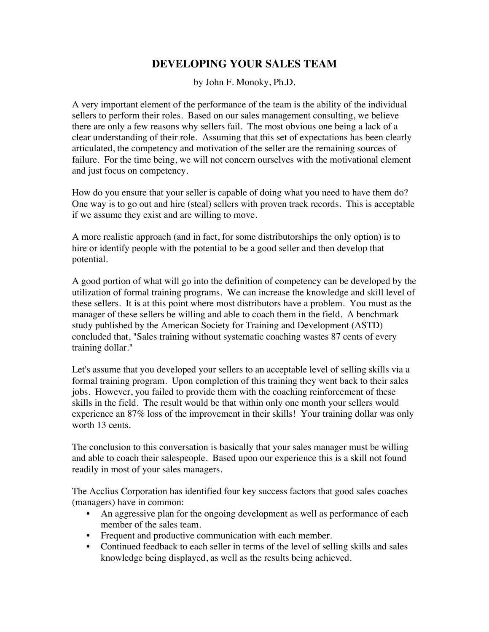## **DEVELOPING YOUR SALES TEAM**

by John F. Monoky, Ph.D.

A very important element of the performance of the team is the ability of the individual sellers to perform their roles. Based on our sales management consulting, we believe there are only a few reasons why sellers fail. The most obvious one being a lack of a clear understanding of their role. Assuming that this set of expectations has been clearly articulated, the competency and motivation of the seller are the remaining sources of failure. For the time being, we will not concern ourselves with the motivational element and just focus on competency.

How do you ensure that your seller is capable of doing what you need to have them do? One way is to go out and hire (steal) sellers with proven track records. This is acceptable if we assume they exist and are willing to move.

A more realistic approach (and in fact, for some distributorships the only option) is to hire or identify people with the potential to be a good seller and then develop that potential.

A good portion of what will go into the definition of competency can be developed by the utilization of formal training programs. We can increase the knowledge and skill level of these sellers. It is at this point where most distributors have a problem. You must as the manager of these sellers be willing and able to coach them in the field. A benchmark study published by the American Society for Training and Development (ASTD) concluded that, "Sales training without systematic coaching wastes 87 cents of every training dollar."

Let's assume that you developed your sellers to an acceptable level of selling skills via a formal training program. Upon completion of this training they went back to their sales jobs. However, you failed to provide them with the coaching reinforcement of these skills in the field. The result would be that within only one month your sellers would experience an 87% loss of the improvement in their skills! Your training dollar was only worth 13 cents.

The conclusion to this conversation is basically that your sales manager must be willing and able to coach their salespeople. Based upon our experience this is a skill not found readily in most of your sales managers.

The Acclius Corporation has identified four key success factors that good sales coaches (managers) have in common:

- An aggressive plan for the ongoing development as well as performance of each member of the sales team.
- Frequent and productive communication with each member.
- Continued feedback to each seller in terms of the level of selling skills and sales knowledge being displayed, as well as the results being achieved.